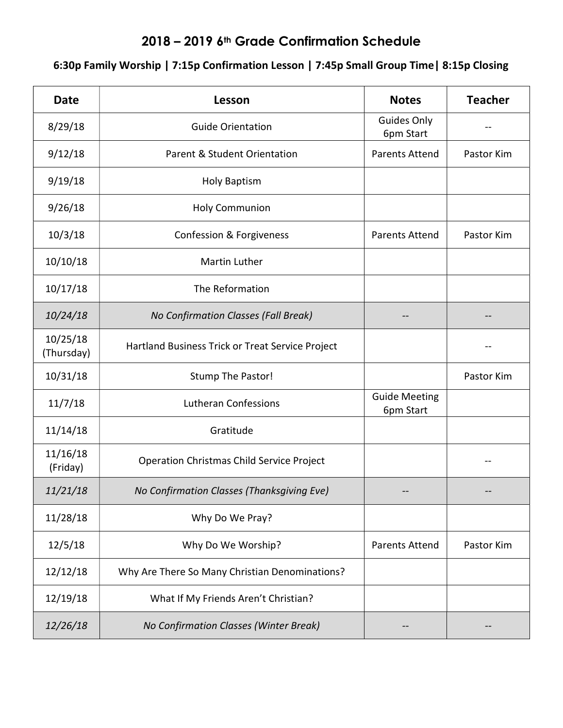## 2018 – 2019 6th Grade Confirmation Schedule

## 6:30p Family Worship | 7:15p Confirmation Lesson | 7:45p Small Group Time| 8:15p Closing

| <b>Date</b>            | Lesson                                           | <b>Notes</b>                      | <b>Teacher</b> |
|------------------------|--------------------------------------------------|-----------------------------------|----------------|
| 8/29/18                | <b>Guide Orientation</b>                         | Guides Only<br>6pm Start          |                |
| 9/12/18                | Parent & Student Orientation                     | <b>Parents Attend</b>             | Pastor Kim     |
| 9/19/18                | <b>Holy Baptism</b>                              |                                   |                |
| 9/26/18                | <b>Holy Communion</b>                            |                                   |                |
| 10/3/18                | Confession & Forgiveness                         | Parents Attend                    | Pastor Kim     |
| 10/10/18               | Martin Luther                                    |                                   |                |
| 10/17/18               | The Reformation                                  |                                   |                |
| 10/24/18               | No Confirmation Classes (Fall Break)             |                                   |                |
| 10/25/18<br>(Thursday) | Hartland Business Trick or Treat Service Project |                                   |                |
| 10/31/18               | <b>Stump The Pastor!</b>                         |                                   | Pastor Kim     |
| 11/7/18                | <b>Lutheran Confessions</b>                      | <b>Guide Meeting</b><br>6pm Start |                |
| 11/14/18               | Gratitude                                        |                                   |                |
| 11/16/18<br>(Friday)   | <b>Operation Christmas Child Service Project</b> |                                   |                |
| 11/21/18               | No Confirmation Classes (Thanksgiving Eve)       |                                   |                |
| 11/28/18               | Why Do We Pray?                                  |                                   |                |
| 12/5/18                | Why Do We Worship?                               | <b>Parents Attend</b>             | Pastor Kim     |
| 12/12/18               | Why Are There So Many Christian Denominations?   |                                   |                |
| 12/19/18               | What If My Friends Aren't Christian?             |                                   |                |
| 12/26/18               | No Confirmation Classes (Winter Break)           |                                   |                |